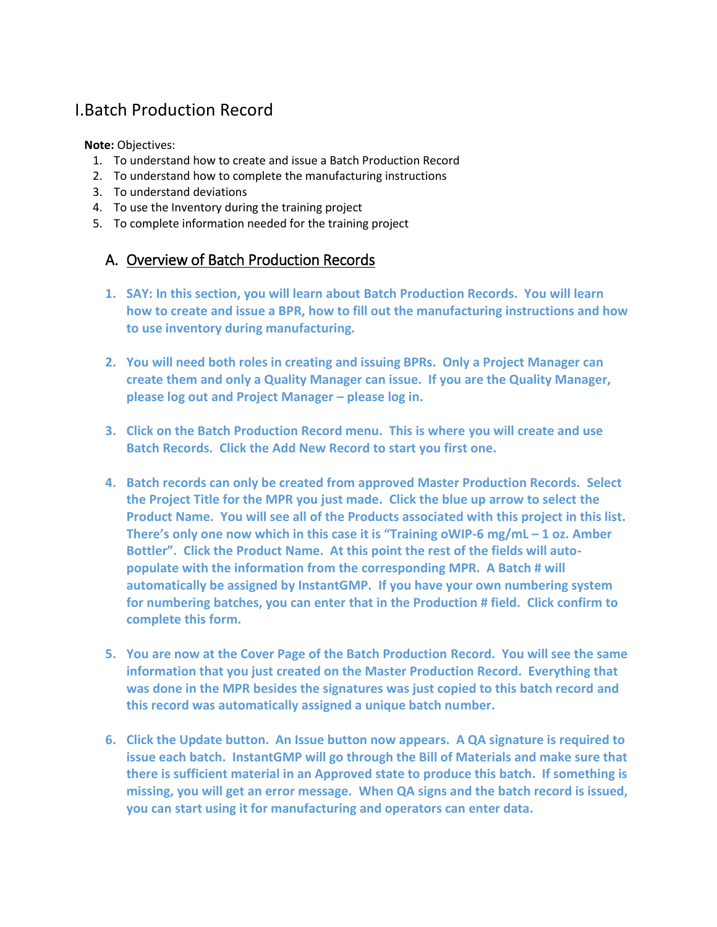# I.Batch Production Record

**Note:** Objectives:

- 1. To understand how to create and issue a Batch Production Record
- 2. To understand how to complete the manufacturing instructions
- 3. To understand deviations
- 4. To use the Inventory during the training project
- 5. To complete information needed for the training project

### A. Overview of Batch Production Records

- **1. SAY: In this section, you will learn about Batch Production Records. You will learn how to create and issue a BPR, how to fill out the manufacturing instructions and how to use inventory during manufacturing.**
- **2. You will need both roles in creating and issuing BPRs. Only a Project Manager can create them and only a Quality Manager can issue. If you are the Quality Manager, please log out and Project Manager – please log in.**
- **3. Click on the Batch Production Record menu. This is where you will create and use Batch Records. Click the Add New Record to start you first one.**
- **4. Batch records can only be created from approved Master Production Records. Select the Project Title for the MPR you just made. Click the blue up arrow to select the Product Name. You will see all of the Products associated with this project in this list. There's only one now which in this case it is "Training oWIP-6 mg/mL – 1 oz. Amber Bottler". Click the Product Name. At this point the rest of the fields will autopopulate with the information from the corresponding MPR. A Batch # will automatically be assigned by InstantGMP. If you have your own numbering system for numbering batches, you can enter that in the Production # field. Click confirm to complete this form.**
- **5. You are now at the Cover Page of the Batch Production Record. You will see the same information that you just created on the Master Production Record. Everything that was done in the MPR besides the signatures was just copied to this batch record and this record was automatically assigned a unique batch number.**
- **6. Click the Update button. An Issue button now appears. A QA signature is required to issue each batch. InstantGMP will go through the Bill of Materials and make sure that there is sufficient material in an Approved state to produce this batch. If something is missing, you will get an error message. When QA signs and the batch record is issued, you can start using it for manufacturing and operators can enter data.**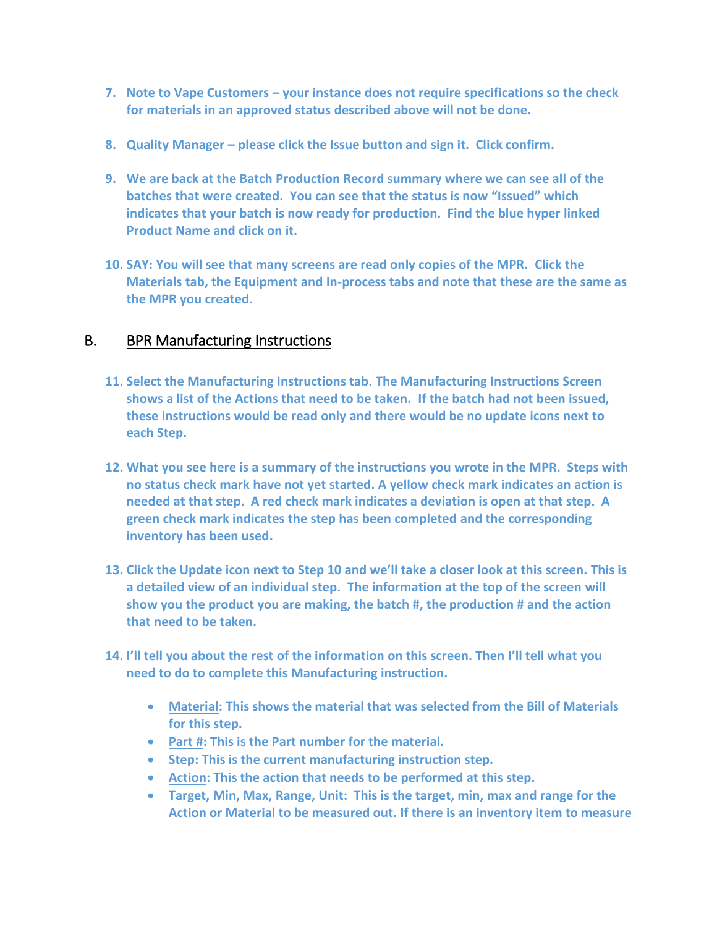- **7. Note to Vape Customers – your instance does not require specifications so the check for materials in an approved status described above will not be done.**
- **8. Quality Manager – please click the Issue button and sign it. Click confirm.**
- **9. We are back at the Batch Production Record summary where we can see all of the batches that were created. You can see that the status is now "Issued" which indicates that your batch is now ready for production. Find the blue hyper linked Product Name and click on it.**
- **10. SAY: You will see that many screens are read only copies of the MPR. Click the Materials tab, the Equipment and In-process tabs and note that these are the same as the MPR you created.**

## B. BPR Manufacturing Instructions

- **11. Select the Manufacturing Instructions tab. The Manufacturing Instructions Screen shows a list of the Actions that need to be taken. If the batch had not been issued, these instructions would be read only and there would be no update icons next to each Step.**
- **12. What you see here is a summary of the instructions you wrote in the MPR. Steps with no status check mark have not yet started. A yellow check mark indicates an action is needed at that step. A red check mark indicates a deviation is open at that step. A green check mark indicates the step has been completed and the corresponding inventory has been used.**
- **13. Click the Update icon next to Step 10 and we'll take a closer look at this screen. This is a detailed view of an individual step. The information at the top of the screen will show you the product you are making, the batch #, the production # and the action that need to be taken.**
- **14. I'll tell you about the rest of the information on this screen. Then I'll tell what you need to do to complete this Manufacturing instruction.** 
	- **Material: This shows the material that was selected from the Bill of Materials for this step.**
	- **Part #: This is the Part number for the material.**
	- **•** Step: This is the current manufacturing instruction step.
	- **Action: This the action that needs to be performed at this step.**
	- **Target, Min, Max, Range, Unit: This is the target, min, max and range for the Action or Material to be measured out. If there is an inventory item to measure**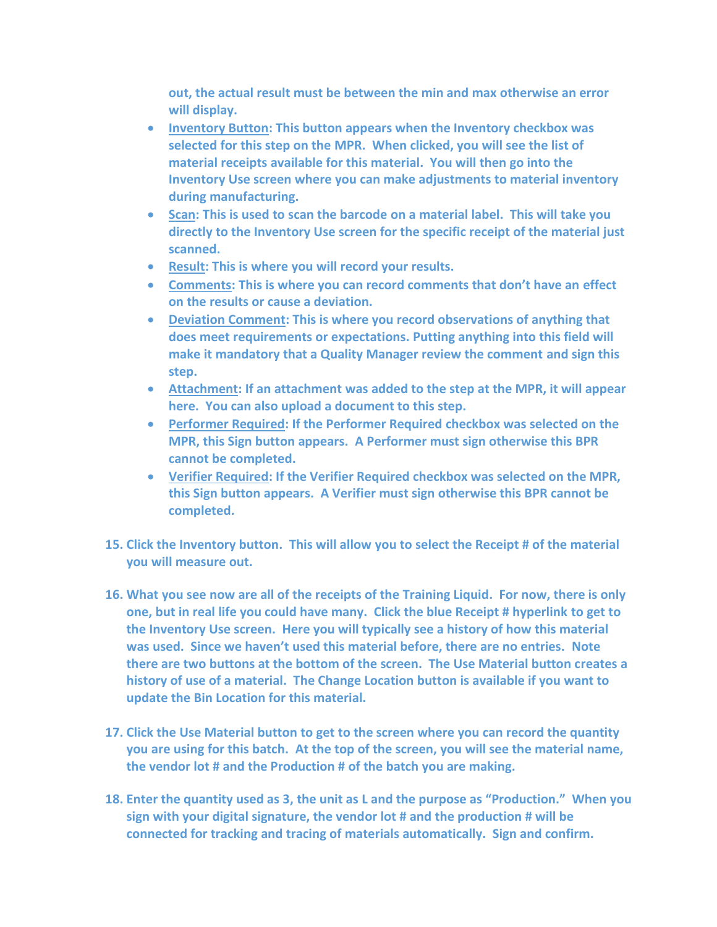**out, the actual result must be between the min and max otherwise an error will display.** 

- **Inventory Button: This button appears when the Inventory checkbox was selected for this step on the MPR. When clicked, you will see the list of material receipts available for this material. You will then go into the Inventory Use screen where you can make adjustments to material inventory during manufacturing.**
- **Scan: This is used to scan the barcode on a material label. This will take you directly to the Inventory Use screen for the specific receipt of the material just scanned.**
- **Result: This is where you will record your results.**
- **Comments: This is where you can record comments that don't have an effect on the results or cause a deviation.**
- **Deviation Comment: This is where you record observations of anything that does meet requirements or expectations. Putting anything into this field will make it mandatory that a Quality Manager review the comment and sign this step.**
- **Attachment: If an attachment was added to the step at the MPR, it will appear here. You can also upload a document to this step.**
- **Performer Required: If the Performer Required checkbox was selected on the MPR, this Sign button appears. A Performer must sign otherwise this BPR cannot be completed.**
- **Verifier Required: If the Verifier Required checkbox was selected on the MPR, this Sign button appears. A Verifier must sign otherwise this BPR cannot be completed.**
- **15. Click the Inventory button. This will allow you to select the Receipt # of the material you will measure out.**
- **16. What you see now are all of the receipts of the Training Liquid. For now, there is only one, but in real life you could have many. Click the blue Receipt # hyperlink to get to the Inventory Use screen. Here you will typically see a history of how this material was used. Since we haven't used this material before, there are no entries. Note there are two buttons at the bottom of the screen. The Use Material button creates a history of use of a material. The Change Location button is available if you want to update the Bin Location for this material.**
- **17. Click the Use Material button to get to the screen where you can record the quantity you are using for this batch. At the top of the screen, you will see the material name, the vendor lot # and the Production # of the batch you are making.**
- **18. Enter the quantity used as 3, the unit as L and the purpose as "Production." When you sign with your digital signature, the vendor lot # and the production # will be connected for tracking and tracing of materials automatically. Sign and confirm.**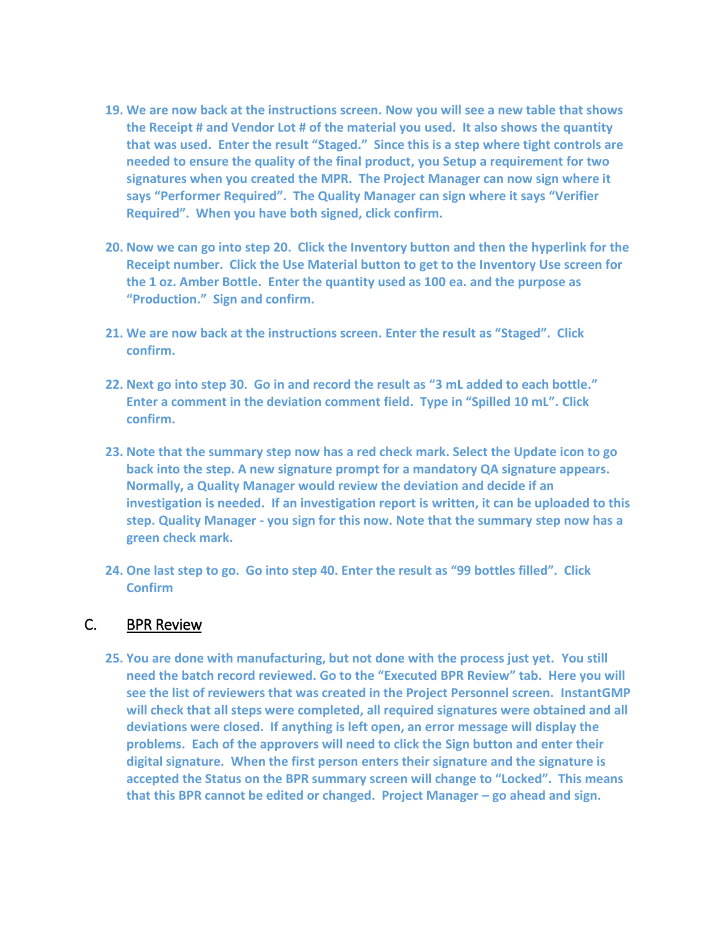- **19. We are now back at the instructions screen. Now you will see a new table that shows the Receipt # and Vendor Lot # of the material you used. It also shows the quantity that was used. Enter the result "Staged." Since this is a step where tight controls are needed to ensure the quality of the final product, you Setup a requirement for two signatures when you created the MPR. The Project Manager can now sign where it says "Performer Required". The Quality Manager can sign where it says "Verifier Required". When you have both signed, click confirm.**
- **20. Now we can go into step 20. Click the Inventory button and then the hyperlink for the Receipt number. Click the Use Material button to get to the Inventory Use screen for the 1 oz. Amber Bottle. Enter the quantity used as 100 ea. and the purpose as "Production." Sign and confirm.**
- **21. We are now back at the instructions screen. Enter the result as "Staged". Click confirm.**
- **22. Next go into step 30. Go in and record the result as "3 mL added to each bottle." Enter a comment in the deviation comment field. Type in "Spilled 10 mL". Click confirm.**
- **23. Note that the summary step now has a red check mark. Select the Update icon to go back into the step. A new signature prompt for a mandatory QA signature appears. Normally, a Quality Manager would review the deviation and decide if an investigation is needed. If an investigation report is written, it can be uploaded to this step. Quality Manager - you sign for this now. Note that the summary step now has a green check mark.**
- **24. One last step to go. Go into step 40. Enter the result as "99 bottles filled". Click Confirm**

#### C. BPR Review

**25. You are done with manufacturing, but not done with the process just yet. You still need the batch record reviewed. Go to the "Executed BPR Review" tab. Here you will see the list of reviewers that was created in the Project Personnel screen. InstantGMP will check that all steps were completed, all required signatures were obtained and all deviations were closed. If anything is left open, an error message will display the problems. Each of the approvers will need to click the Sign button and enter their digital signature. When the first person enters their signature and the signature is accepted the Status on the BPR summary screen will change to "Locked". This means that this BPR cannot be edited or changed. Project Manager – go ahead and sign.**